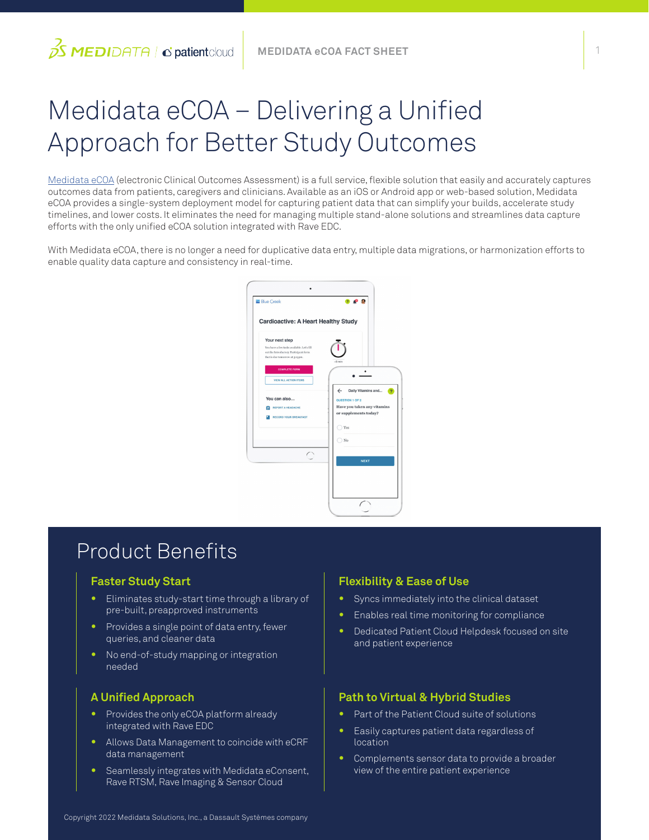# Medidata eCOA – Delivering a Unified Approach for Better Study Outcomes

[Medidata eCOA](https://www.medidata.com/en/clinical-trial-products/patient-centric-clinical-trials/ecoa) (electronic Clinical Outcomes Assessment) is a full service, flexible solution that easily and accurately captures outcomes data from patients, caregivers and clinicians. Available as an iOS or Android app or web-based solution, Medidata eCOA provides a single-system deployment model for capturing patient data that can simplify your builds, accelerate study timelines, and lower costs. It eliminates the need for managing multiple stand-alone solutions and streamlines data capture efforts with the only unified eCOA solution integrated with Rave EDC.

With Medidata eCOA, there is no longer a need for duplicative data entry, multiple data migrations, or harmonization efforts to enable quality data capture and consistency in real-time.



### Product Benefits

#### **Faster Study Start**

 $\beta$ S MEDIDATA | c'patient cloud

- **•** Eliminates study-start time through a library of pre-built, preapproved instruments
- **•** Provides a single point of data entry, fewer queries, and cleaner data
- **•** No end-of-study mapping or integration needed

#### **A Unified Approach**

- **•** Provides the only eCOA platform already integrated with Rave EDC
- **•** Allows Data Management to coincide with eCRF data management
- **•** Seamlessly integrates with Medidata eConsent, Rave RTSM, Rave Imaging & Sensor Cloud

#### **Flexibility & Ease of Use**

- **•** Syncs immediately into the clinical dataset
- **•** Enables real time monitoring for compliance
- **•** Dedicated Patient Cloud Helpdesk focused on site and patient experience

#### **Path to Virtual & Hybrid Studies**

- **•** Part of the Patient Cloud suite of solutions
- **•** Easily captures patient data regardless of location
- **•** Complements sensor data to provide a broader view of the entire patient experience